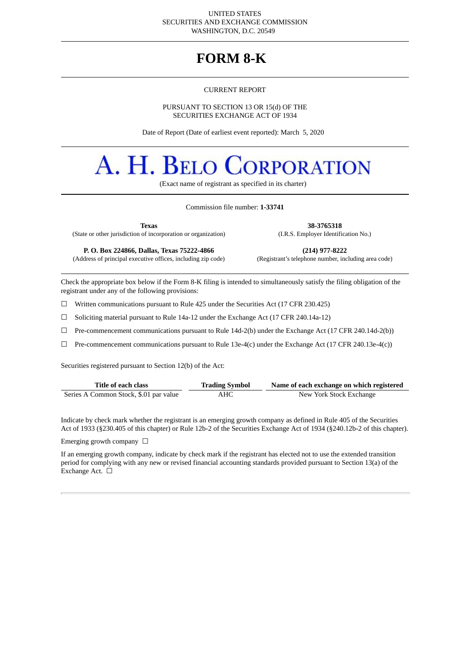#### UNITED STATES SECURITIES AND EXCHANGE COMMISSION WASHINGTON, D.C. 20549

### **FORM 8-K**

#### CURRENT REPORT

PURSUANT TO SECTION 13 OR 15(d) OF THE SECURITIES EXCHANGE ACT OF 1934

Date of Report (Date of earliest event reported): March 5, 2020

# A. H. BELO CORPORATION

(Exact name of registrant as specified in its charter)

#### Commission file number: **1-33741**

(State or other jurisdiction of incorporation or organization) (I.R.S. Employer Identification No.)

**Texas 38-3765318**

**P. O. Box 224866, Dallas, Texas 75222-4866 (214) 977-8222**

(Address of principal executive offices, including zip code) (Registrant's telephone number, including area code)

Check the appropriate box below if the Form 8-K filing is intended to simultaneously satisfy the filing obligation of the registrant under any of the following provisions:

☐ Written communications pursuant to Rule 425 under the Securities Act (17 CFR 230.425)

☐ Soliciting material pursuant to Rule 14a-12 under the Exchange Act (17 CFR 240.14a-12)

☐ Pre-commencement communications pursuant to Rule 14d-2(b) under the Exchange Act (17 CFR 240.14d-2(b))

☐ Pre-commencement communications pursuant to Rule 13e-4(c) under the Exchange Act (17 CFR 240.13e-4(c))

Securities registered pursuant to Section 12(b) of the Act:

| Title of each class                    | <b>Trading Symbol</b> | Name of each exchange on which registered |
|----------------------------------------|-----------------------|-------------------------------------------|
| Series A Common Stock, \$.01 par value | AHC                   | New York Stock Exchange                   |

Indicate by check mark whether the registrant is an emerging growth company as defined in Rule 405 of the Securities Act of 1933 (§230.405 of this chapter) or Rule 12b-2 of the Securities Exchange Act of 1934 (§240.12b-2 of this chapter).

Emerging growth company  $\Box$ 

If an emerging growth company, indicate by check mark if the registrant has elected not to use the extended transition period for complying with any new or revised financial accounting standards provided pursuant to Section 13(a) of the Exchange Act. □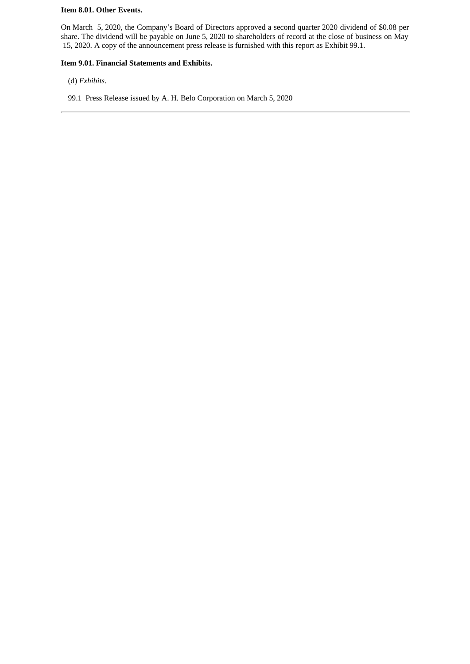#### **Item 8.01. Other Events.**

On March 5, 2020, the Company's Board of Directors approved a second quarter 2020 dividend of \$0.08 per share. The dividend will be payable on June 5, 2020 to shareholders of record at the close of business on May 15, 2020. A copy of the announcement press release is furnished with this report as Exhibit 99.1.

#### **Item 9.01. Financial Statements and Exhibits.**

(d) *Exhibits*.

99.1 Press Release issued by A. H. Belo Corporation on March 5, 2020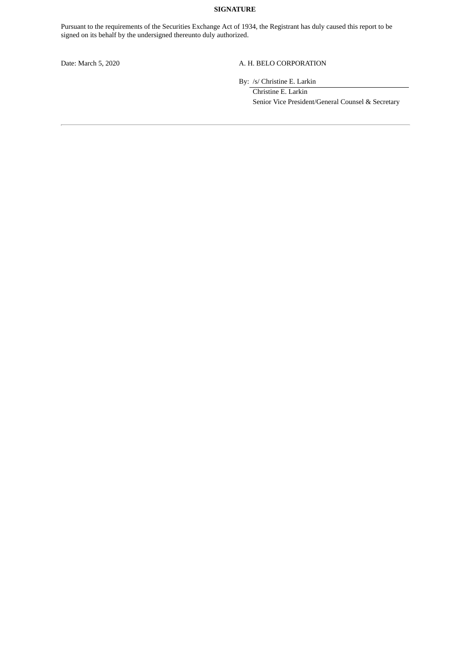#### **SIGNATURE**

Pursuant to the requirements of the Securities Exchange Act of 1934, the Registrant has duly caused this report to be signed on its behalf by the undersigned thereunto duly authorized.

#### Date: March 5, 2020 A. H. BELO CORPORATION

By: /s/ Christine E. Larkin

Christine E. Larkin Senior Vice President/General Counsel & Secretary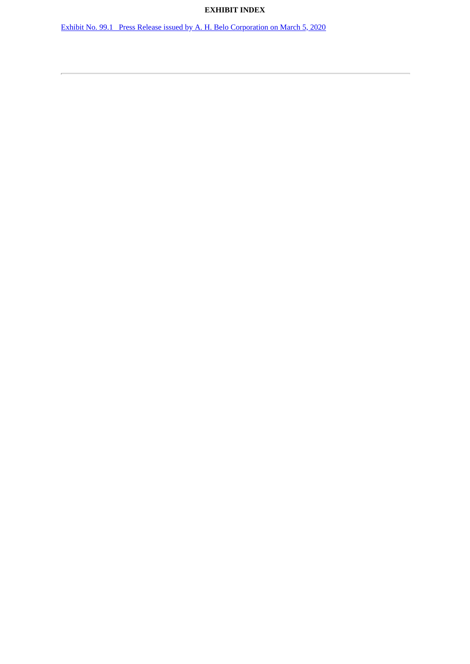#### **EXHIBIT INDEX**

Exhibit No. 99.1 Press Release issued by A. H. Belo [Corporation](#page-4-0) on March 5, 2020